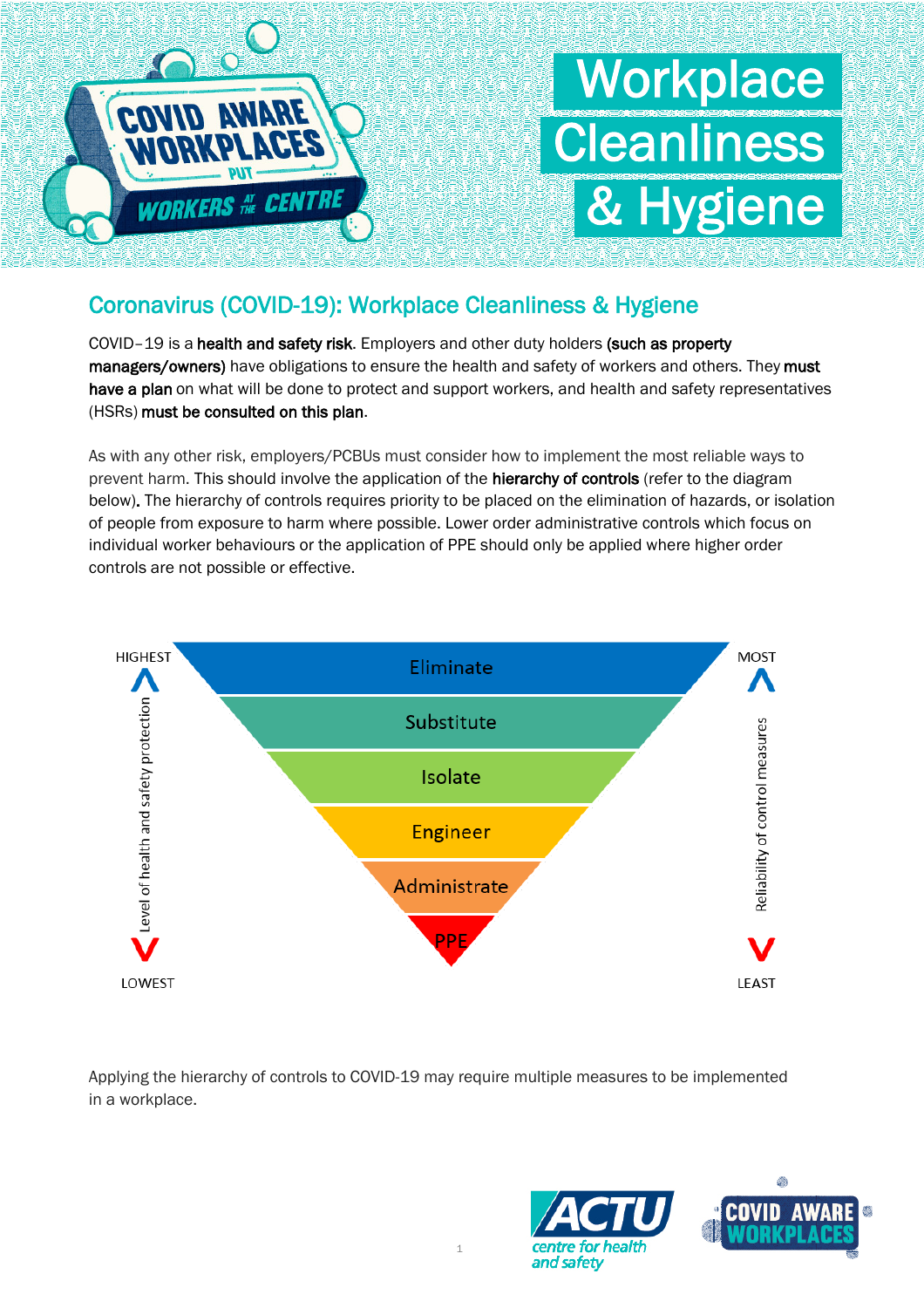

# **Workplace Cleanliness** & Hygiene

## Coronavirus (COVID-19): Workplace Cleanliness & Hygiene

COVID–19 is a health and safety risk. Employers and other duty holders (such as property managers/owners) have obligations to ensure the health and safety of workers and others. They must have a plan on what will be done to protect and support workers, and health and safety representatives (HSRs) must be consulted on this plan.

As with any other risk, employers/PCBUs must consider how to implement the most reliable ways to prevent harm. This should involve the application of the hierarchy of controls (refer to the diagram below). The hierarchy of controls requires priority to be placed on the elimination of hazards, or isolation of people from exposure to harm where possible. Lower order administrative controls which focus on individual worker behaviours or the application of PPE should only be applied where higher order controls are not possible or effective.



Applying the hierarchy of controls to COVID-19 may require multiple measures to be implemented in a workplace.

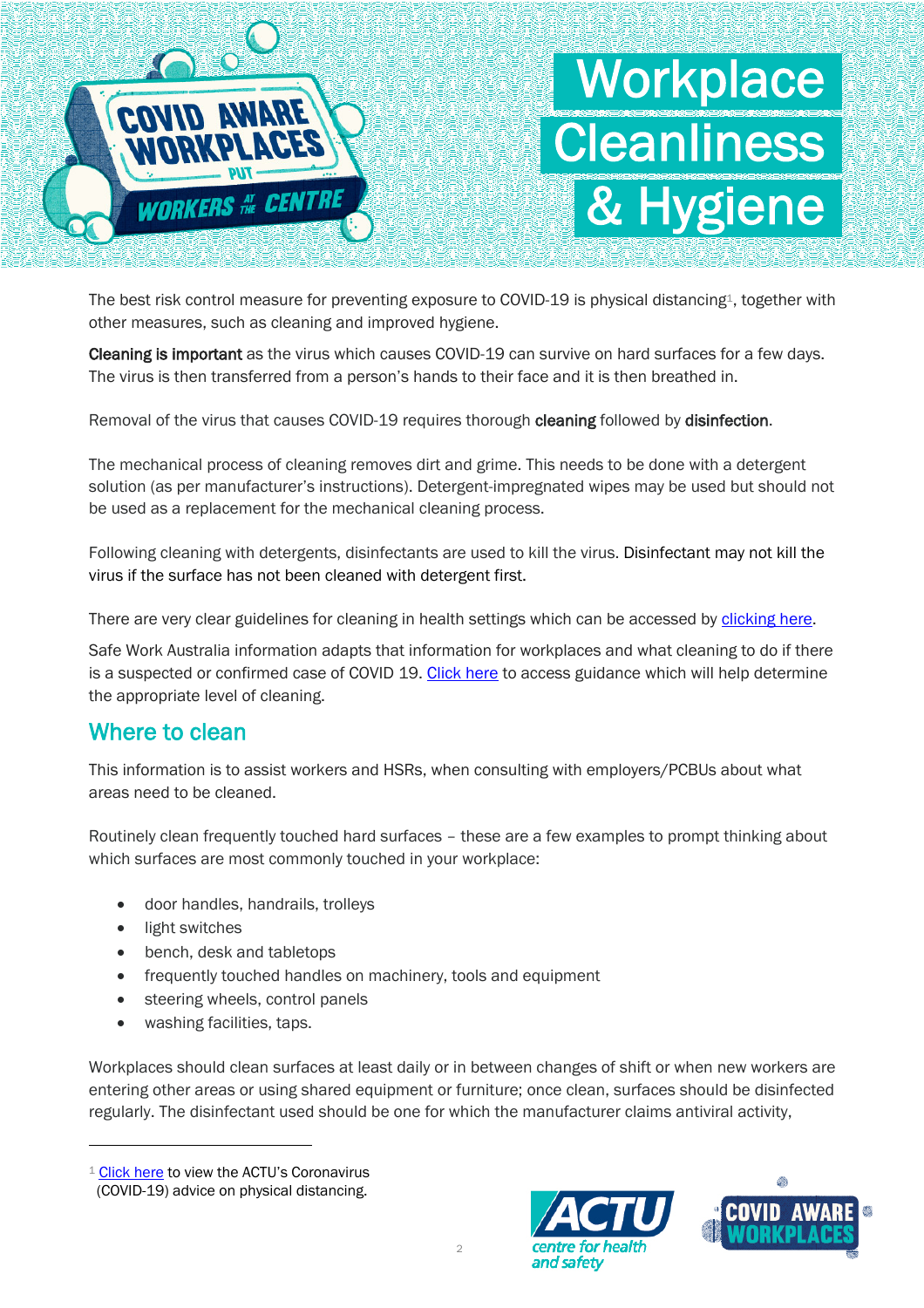

The best risk control measure for preventing exposure to COVID-19 is physical distancing<sup>1</sup>, together with other measures, such as cleaning and improved hygiene.

Cleaning is important as the virus which causes COVID-19 can survive on hard surfaces for a few days. The virus is then transferred from a person's hands to their face and it is then breathed in.

Removal of the virus that causes COVID-19 requires thorough cleaning followed by disinfection.

The mechanical process of cleaning removes dirt and grime. This needs to be done with a detergent solution (as per manufacturer's instructions). Detergent-impregnated wipes may be used but should not be used as a replacement for the mechanical cleaning process.

Following cleaning with detergents, disinfectants are used to kill the virus. Disinfectant may not kill the virus if the surface has not been cleaned with detergent first.

There are very clear guidelines for cleaning in health settings which can be accessed by clicking here.

Safe Work Australia information adapts that information for workplaces and what cleaning to do if there is a suspected or confirmed case of COVID 19. Click here to access guidance which will help determine the appropriate level of cleaning.

#### Where to clean

This information is to assist workers and HSRs, when consulting with employers/PCBUs about what areas need to be cleaned.

Routinely clean frequently touched hard surfaces – these are a few examples to prompt thinking about which surfaces are most commonly touched in your workplace:

- door handles, handrails, trolleys
- light switches
- bench, desk and tabletops
- frequently touched handles on machinery, tools and equipment
- steering wheels, control panels
- washing facilities, taps.

Workplaces should clean surfaces at least daily or in between changes of shift or when new workers are entering other areas or using shared equipment or furniture; once clean, surfaces should be disinfected regularly. The disinfectant used should be one for which the manufacturer claims antiviral activity,

 $1$  Click here to view the ACTU's Coronavirus (COVID-19) advice on physical distancing.